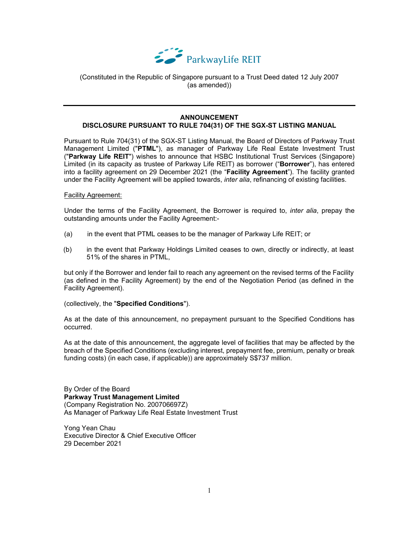

(Constituted in the Republic of Singapore pursuant to a Trust Deed dated 12 July 2007 (as amended))

## **ANNOUNCEMENT DISCLOSURE PURSUANT TO RULE 704(31) OF THE SGX-ST LISTING MANUAL**

Pursuant to Rule 704(31) of the SGX-ST Listing Manual, the Board of Directors of Parkway Trust Management Limited ("**PTML**"), as manager of Parkway Life Real Estate Investment Trust ("**Parkway Life REIT**") wishes to announce that HSBC Institutional Trust Services (Singapore) Limited (in its capacity as trustee of Parkway Life REIT) as borrower ("**Borrower**"), has entered into a facility agreement on 29 December 2021 (the "**Facility Agreement**"). The facility granted under the Facility Agreement will be applied towards, *inter alia*, refinancing of existing facilities.

## **Facility Agreement:**

Under the terms of the Facility Agreement, the Borrower is required to, *inter alia*, prepay the outstanding amounts under the Facility Agreement:-

- (a) in the event that PTML ceases to be the manager of Parkway Life REIT; or
- (b) in the event that Parkway Holdings Limited ceases to own, directly or indirectly, at least 51% of the shares in PTML,

but only if the Borrower and lender fail to reach any agreement on the revised terms of the Facility (as defined in the Facility Agreement) by the end of the Negotiation Period (as defined in the Facility Agreement).

(collectively, the "**Specified Conditions**").

As at the date of this announcement, no prepayment pursuant to the Specified Conditions has occurred.

As at the date of this announcement, the aggregate level of facilities that may be affected by the breach of the Specified Conditions (excluding interest, prepayment fee, premium, penalty or break funding costs) (in each case, if applicable)) are approximately S\$737 million.

By Order of the Board **Parkway Trust Management Limited**  (Company Registration No. 200706697Z) As Manager of Parkway Life Real Estate Investment Trust

Yong Yean Chau Executive Director & Chief Executive Officer 29 December 2021